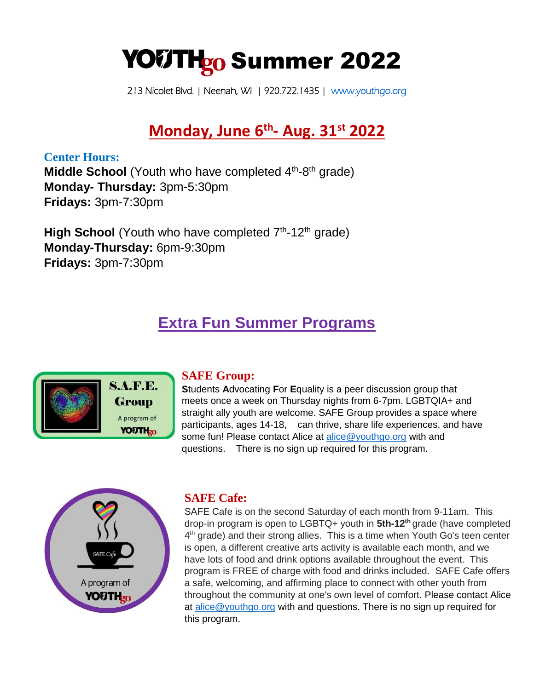# YOUTH<sub>g0</sub> Summer 2022

213 Nicolet Blvd. | Neenah, WI | 920.722.1435 | www.youthgo.org

## **Monday, June 6th - Aug. 31st 2022**

#### **Center Hours:**

**Middle School** (Youth who have completed 4<sup>th</sup>-8<sup>th</sup> grade) **Monday- Thursday:** 3pm-5:30pm **Fridays:** 3pm-7:30pm

High School (Youth who have completed 7<sup>th</sup>-12<sup>th</sup> grade) **Monday-Thursday:** 6pm-9:30pm **Fridays:** 3pm-7:30pm

### **Extra Fun Summer Programs**



#### **SAFE Group:**

**S**tudents **A**dvocating **F**or **E**quality is a peer discussion group that meets once a week on Thursday nights from 6-7pm. LGBTQIA+ and straight ally youth are welcome. SAFE Group provides a space where participants, ages 14-18, can thrive, share life experiences, and have some fun! Please contact Alice at [alice@youthgo.org](mailto:alice@youthgo.org) with and questions. There is no sign up required for this program.



#### **SAFE Cafe:**

SAFE Cafe is on the second Saturday of each month from 9-11am. This drop-in program is open to LGBTQ+ youth in **5th-12th** grade (have completed 4<sup>th</sup> grade) and their strong allies. This is a time when Youth Go's teen center is open, a different creative arts activity is available each month, and we have lots of food and drink options available throughout the event. This program is FREE of charge with food and drinks included. SAFE Cafe offers a safe, welcoming, and affirming place to connect with other youth from throughout the community at one's own level of comfort. Please contact Alice at [alice@youthgo.org](mailto:alice@youthgo.org) with and questions. There is no sign up required for this program.